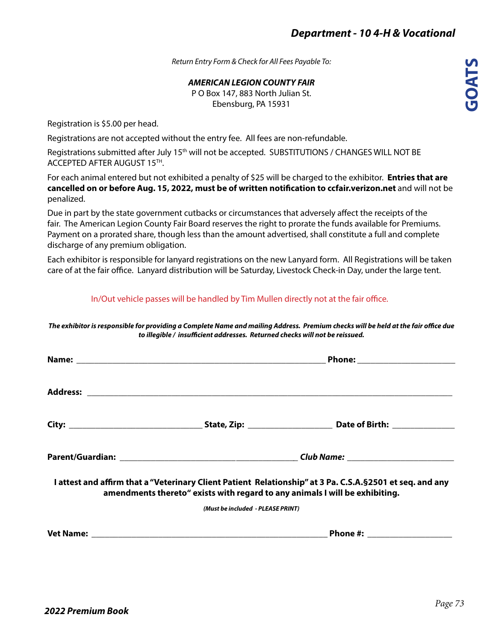*Return Entry Form & Check for All Fees Payable To:*

*AMERICAN LEGION COUNTY FAIR* P O Box 147, 883 North Julian St.

Ebensburg, PA 15931

Registration is \$5.00 per head.

Registrations are not accepted without the entry fee. All fees are non-refundable.

Registrations submitted after July 15<sup>th</sup> will not be accepted. SUBSTITUTIONS / CHANGES WILL NOT BE ACCEPTED AFTER AUGUST 15TH.

For each animal entered but not exhibited a penalty of \$25 will be charged to the exhibitor. **Entries that are cancelled on or before Aug. 15, 2022, must be of written notification to ccfair.verizon.net** and will not be penalized.

Due in part by the state government cutbacks or circumstances that adversely affect the receipts of the fair. The American Legion County Fair Board reserves the right to prorate the funds available for Premiums. Payment on a prorated share, though less than the amount advertised, shall constitute a full and complete discharge of any premium obligation.

Each exhibitor is responsible for lanyard registrations on the new Lanyard form. All Registrations will be taken care of at the fair office. Lanyard distribution will be Saturday, Livestock Check-in Day, under the large tent.

## In/Out vehicle passes will be handled by Tim Mullen directly not at the fair office.

*The exhibitor is responsible for providing a Complete Name and mailing Address. Premium checks will be held at the fair office due to illegible / insufficient addresses. Returned checks will not be reissued.*

|                                   | I attest and affirm that a "Veterinary Client Patient Relationship" at 3 Pa. C.S.A.§2501 et seq. and any<br>amendments thereto" exists with regard to any animals I will be exhibiting. |  |  |  |  |  |
|-----------------------------------|-----------------------------------------------------------------------------------------------------------------------------------------------------------------------------------------|--|--|--|--|--|
| (Must be included - PLEASE PRINT) |                                                                                                                                                                                         |  |  |  |  |  |
|                                   | <b>Phone #: ____________________</b>                                                                                                                                                    |  |  |  |  |  |
|                                   |                                                                                                                                                                                         |  |  |  |  |  |